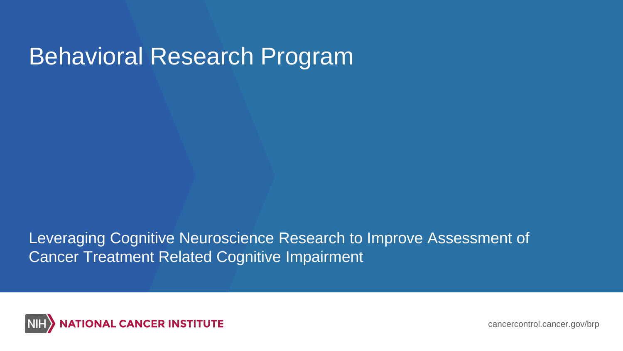## Behavioral Research Program

Leveraging Cognitive Neuroscience Research to Improve Assessment of Cancer Treatment Related Cognitive Impairment



cancercontrol.cancer.gov/brp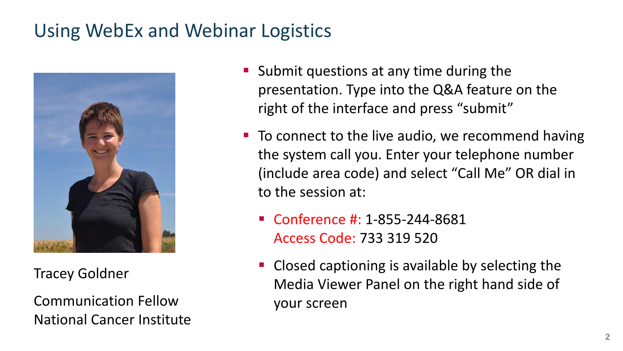### Using WebEx and Webinar Logistics



Tracey Goldner

Communication Fellow National Cancer Institute

- **Submit questions at any time during the** presentation. Type into the Q&A feature on the right of the interface and press "submit"
- To connect to the live audio, we recommend having the system call you. Enter your telephone number (include area code) and select "Call Me" OR dial in to the session at:
	- Conference #: 1-855-244-8681 Access Code: 733 319 520
	- **Closed captioning is available by selecting the** Media Viewer Panel on the right hand side of your screen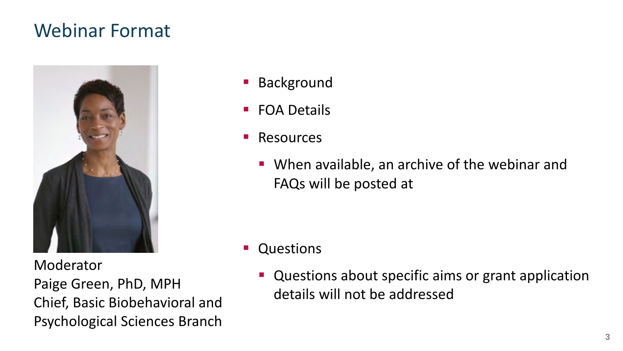#### Webinar Format



Moderator Paige Green, PhD, MPH Chief, Basic Biobehavioral and Psychological Sciences Branch

- **Background**
- FOA Details
- **Resources** 
	- When available, an archive of the webinar and FAQs will be posted at

- **Questions** 
	- **Questions about specific aims or grant application** details will not be addressed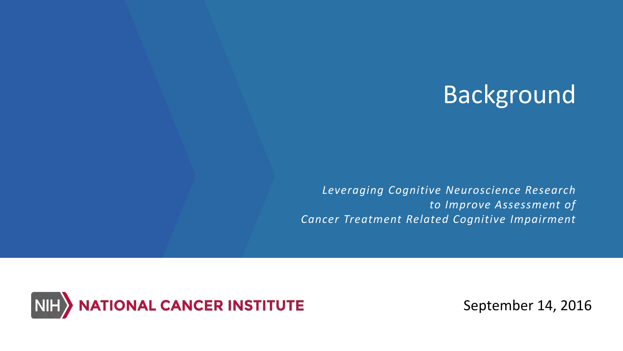# Background

*Leveraging Cognitive Neuroscience Research to Improve Assessment of Cancer Treatment Related Cognitive Impairment* 



September 14, 2016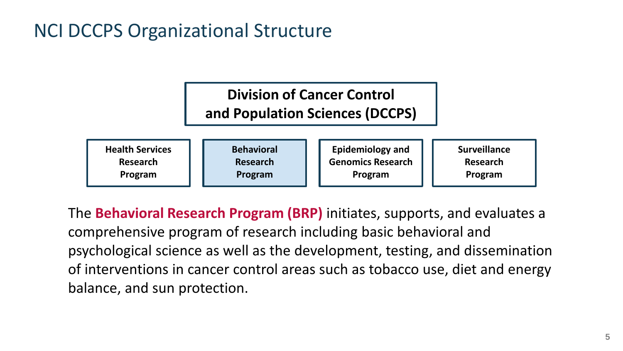#### NCI DCCPS Organizational Structure

#### **Division of Cancer Control**

#### **and Population Sciences (DCCPS)**

| <b>Health Services</b> | <b>Behavioral</b> | <b>Epidemiology and</b>  | <b>Surveillance</b> |
|------------------------|-------------------|--------------------------|---------------------|
| Research               | Research          | <b>Genomics Research</b> | Research            |
| Program                | Program           | Program                  | Program             |

The **Behavioral Research Program (BRP)** initiates, supports, and evaluates a comprehensive program of research including basic behavioral and psychological science as well as the development, testing, and dissemination of interventions in cancer control areas such as tobacco use, diet and energy balance, and sun protection.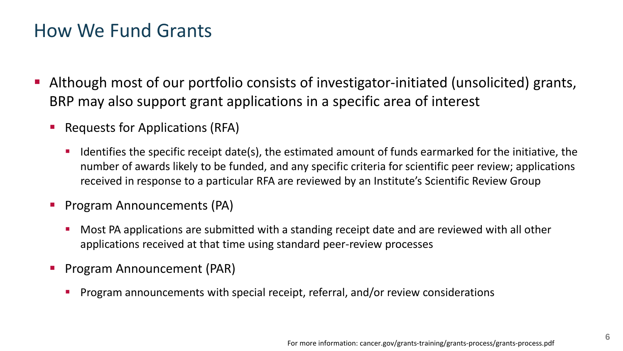#### How We Fund Grants

- Although most of our portfolio consists of investigator-initiated (unsolicited) grants, BRP may also support grant applications in a specific area of interest
	- Requests for Applications (RFA)
		- Identifies the specific receipt date(s), the estimated amount of funds earmarked for the initiative, the number of awards likely to be funded, and any specific criteria for scientific peer review; applications received in response to a particular RFA are reviewed by an Institute's Scientific Review Group
	- Program Announcements (PA)
		- Most PA applications are submitted with a standing receipt date and are reviewed with all other applications received at that time using standard peer-review processes
	- Program Announcement (PAR)
		- Program announcements with special receipt, referral, and/or review considerations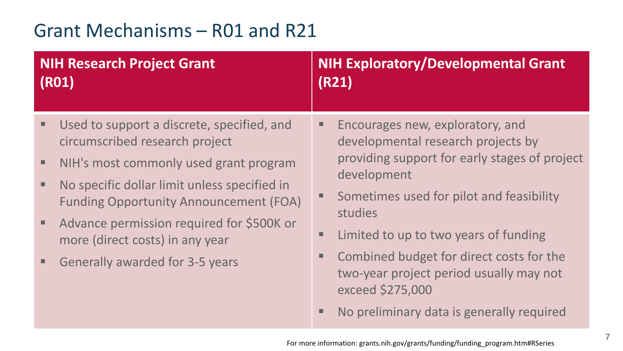### Grant Mechanisms – R01 and R21

| <b>NIH Research Project Grant</b>                                                                                                                                                                                                                                                                                                               | <b>NIH Exploratory/Developmental Grant</b>                                                                                                                                                                                                                                                                                                                                                     |  |
|-------------------------------------------------------------------------------------------------------------------------------------------------------------------------------------------------------------------------------------------------------------------------------------------------------------------------------------------------|------------------------------------------------------------------------------------------------------------------------------------------------------------------------------------------------------------------------------------------------------------------------------------------------------------------------------------------------------------------------------------------------|--|
| (R01)                                                                                                                                                                                                                                                                                                                                           | (R21)                                                                                                                                                                                                                                                                                                                                                                                          |  |
| Used to support a discrete, specified, and<br>ш<br>circumscribed research project<br>NIH's most commonly used grant program<br>No specific dollar limit unless specified in<br><b>Funding Opportunity Announcement (FOA)</b><br>Advance permission required for \$500K or<br>more (direct costs) in any year<br>Generally awarded for 3-5 years | Encourages new, exploratory, and<br>developmental research projects by<br>providing support for early stages of project<br>development<br>Sometimes used for pilot and feasibility<br>studies<br>Limited to up to two years of funding<br>Combined budget for direct costs for the<br>two-year project period usually may not<br>exceed \$275,000<br>No preliminary data is generally required |  |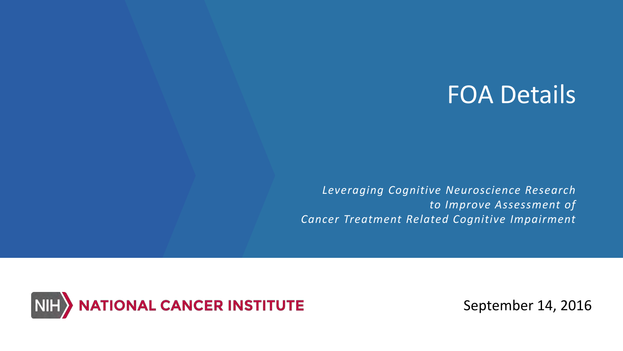## FOA Details

*Leveraging Cognitive Neuroscience Research to Improve Assessment of Cancer Treatment Related Cognitive Impairment* 



September 14, 2016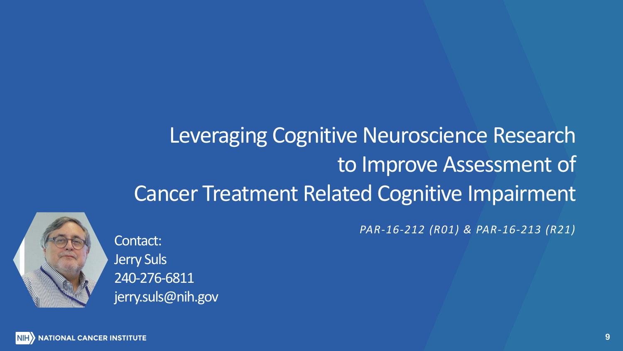# Leveraging Cognitive Neuroscience Research to Improve Assessment of Cancer Treatment Related Cognitive Impairment



Contact: Jerry Suls 240-276-6811 jerry.suls@nih.gov *PAR-16-212 (R01) & PAR-16-213 (R21)*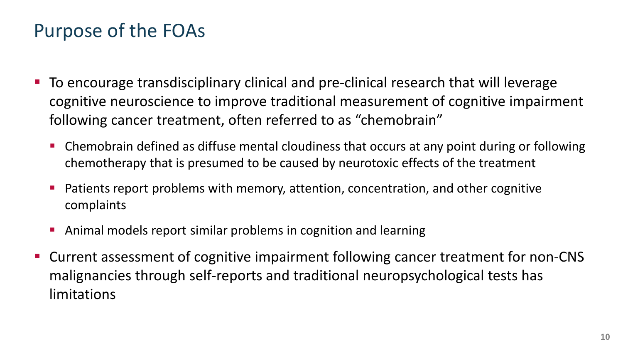### Purpose of the FOAs

- To encourage transdisciplinary clinical and pre-clinical research that will leverage cognitive neuroscience to improve traditional measurement of cognitive impairment following cancer treatment, often referred to as "chemobrain"
	- Chemobrain defined as diffuse mental cloudiness that occurs at any point during or following chemotherapy that is presumed to be caused by neurotoxic effects of the treatment
	- Patients report problems with memory, attention, concentration, and other cognitive complaints
	- Animal models report similar problems in cognition and learning
- Current assessment of cognitive impairment following cancer treatment for non-CNS malignancies through self-reports and traditional neuropsychological tests has limitations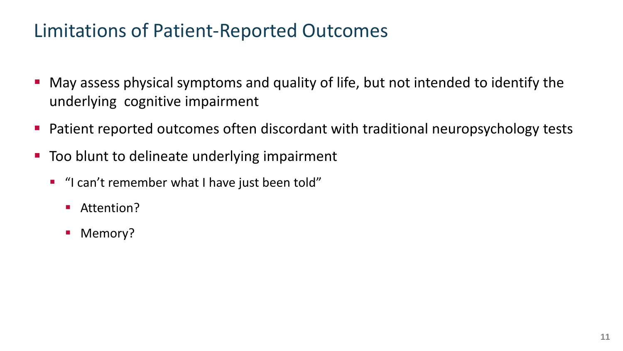#### Limitations of Patient-Reported Outcomes

- May assess physical symptoms and quality of life, but not intended to identify the underlying cognitive impairment
- Patient reported outcomes often discordant with traditional neuropsychology tests
- Too blunt to delineate underlying impairment
	- "I can't remember what I have just been told"
		- Attention?
		- Memory?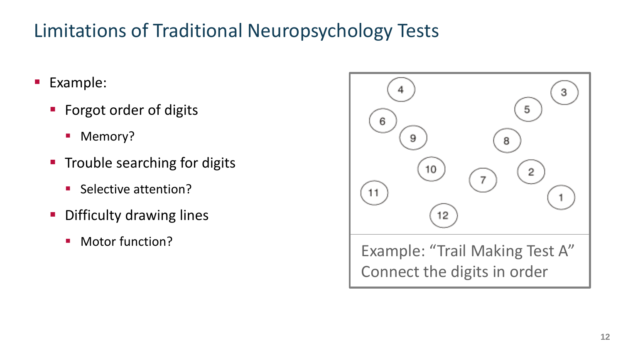### Limitations of Traditional Neuropsychology Tests

- Example:
	- Forgot order of digits
		- Memory?
	- **Trouble searching for digits** 
		- **Selective attention?**
	- **-** Difficulty drawing lines
		-

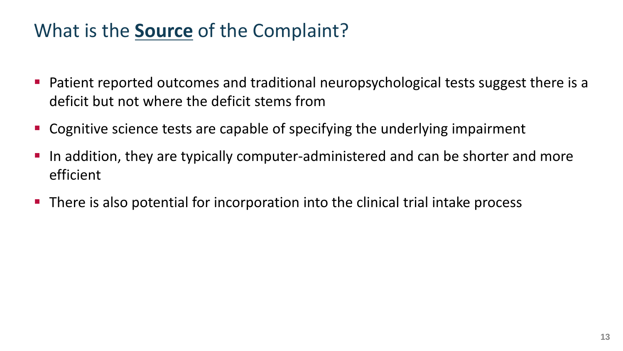### What is the **Source** of the Complaint?

- **Patient reported outcomes and traditional neuropsychological tests suggest there is a** deficit but not where the deficit stems from
- **Cognitive science tests are capable of specifying the underlying impairment**
- In addition, they are typically computer-administered and can be shorter and more efficient
- There is also potential for incorporation into the clinical trial intake process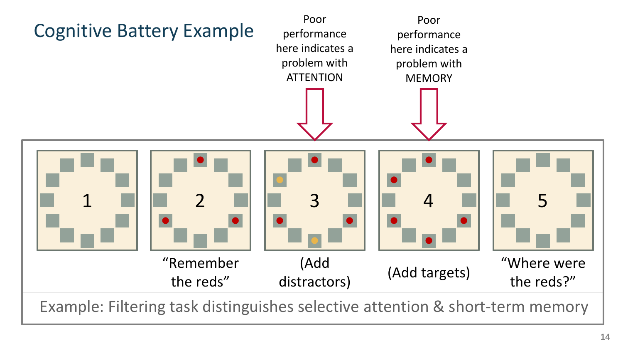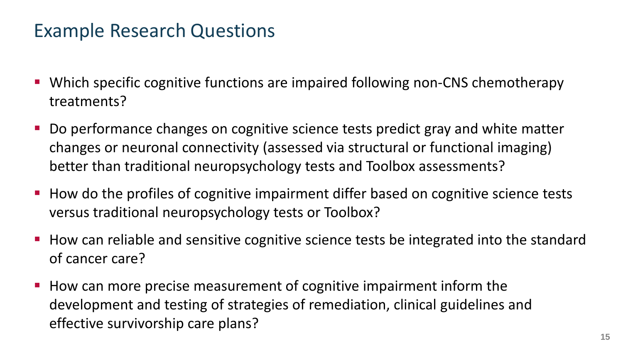#### Example Research Questions

- Which specific cognitive functions are impaired following non-CNS chemotherapy treatments?
- Do performance changes on cognitive science tests predict gray and white matter changes or neuronal connectivity (assessed via structural or functional imaging) better than traditional neuropsychology tests and Toolbox assessments?
- **How do the profiles of cognitive impairment differ based on cognitive science tests** versus traditional neuropsychology tests or Toolbox?
- **How can reliable and sensitive cognitive science tests be integrated into the standard** of cancer care?
- How can more precise measurement of cognitive impairment inform the development and testing of strategies of remediation, clinical guidelines and effective survivorship care plans?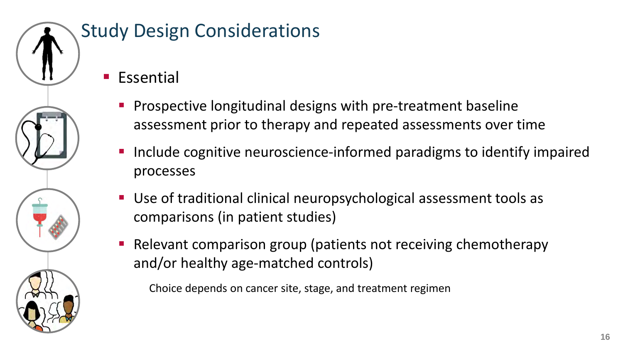

## Study Design Considerations

- **Essential** 
	- Prospective longitudinal designs with pre-treatment baseline assessment prior to therapy and repeated assessments over time
	- Include cognitive neuroscience-informed paradigms to identify impaired processes
	- Use of traditional clinical neuropsychological assessment tools as comparisons (in patient studies)
	- Relevant comparison group (patients not receiving chemotherapy and/or healthy age-matched controls)

Choice depends on cancer site, stage, and treatment regimen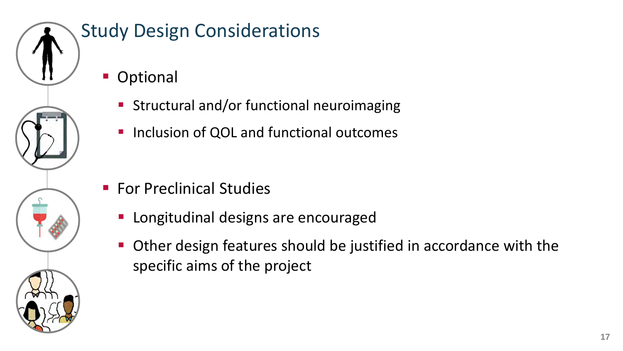

## Study Design Considerations

- **Optional** 
	- **Structural and/or functional neuroimaging**
	- **Inclusion of QOL and functional outcomes**

- **For Preclinical Studies** 
	- **Longitudinal designs are encouraged**
	- Other design features should be justified in accordance with the specific aims of the project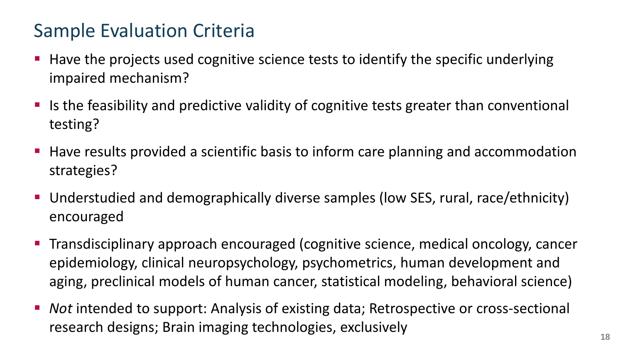### Sample Evaluation Criteria

- **Have the projects used cognitive science tests to identify the specific underlying** impaired mechanism?
- If is the feasibility and predictive validity of cognitive tests greater than conventional testing?
- Have results provided a scientific basis to inform care planning and accommodation strategies?
- Understudied and demographically diverse samples (low SES, rural, race/ethnicity) encouraged
- Transdisciplinary approach encouraged (cognitive science, medical oncology, cancer epidemiology, clinical neuropsychology, psychometrics, human development and aging, preclinical models of human cancer, statistical modeling, behavioral science)
- *Not* intended to support: Analysis of existing data; Retrospective or cross-sectional research designs; Brain imaging technologies, exclusively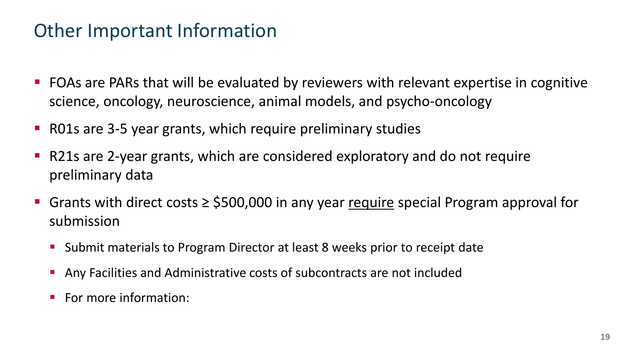#### Other Important Information

- **FOAs are PARs that will be evaluated by reviewers with relevant expertise in cognitive** science, oncology, neuroscience, animal models, and psycho-oncology
- R01s are 3-5 year grants, which require preliminary studies
- R21s are 2-year grants, which are considered exploratory and do not require preliminary data
- Grants with direct costs  $\ge$  \$500,000 in any year require special Program approval for submission
	- **Submit materials to Program Director at least 8 weeks prior to receipt date**
	- Any Facilities and Administrative costs of subcontracts are not included
	- For more information: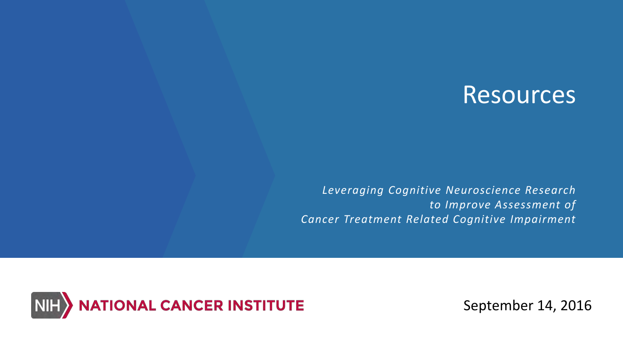## **Resources**

*Leveraging Cognitive Neuroscience Research to Improve Assessment of Cancer Treatment Related Cognitive Impairment* 



September 14, 2016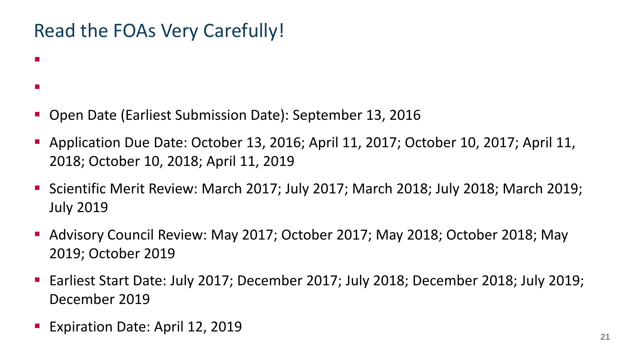#### Read the FOAs Very Carefully!

- [PAR-16-212 \(R01\) http://grants.nih.gov/grants/guide/pa-files/PAR-16-212.html](http://grants.nih.gov/grants/guide/pa-files/PAR-16-212.html)
- [PAR-16-213 \(R21\) http://grants.nih.gov/grants/guide/pa-files/PAR-16-213.html](http://grants.nih.gov/grants/guide/pa-files/PAR-16-212.html)
- Open Date (Earliest Submission Date): September 13, 2016
- Application Due Date: October 13, 2016; April 11, 2017; October 10, 2017; April 11, 2018; October 10, 2018; April 11, 2019
- Scientific Merit Review: March 2017; July 2017; March 2018; July 2018; March 2019; July 2019
- Advisory Council Review: May 2017; October 2017; May 2018; October 2018; May 2019; October 2019
- Earliest Start Date: July 2017; December 2017; July 2018; December 2018; July 2019; December 2019
- Expiration Date: April 12, 2019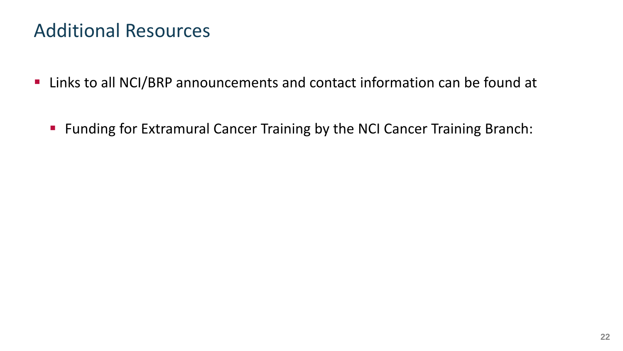#### Additional Resources

- Links to all NCI/BRP announcements and contact information can be found at
	- **Funding for Extramural Cancer Training by the NCI Cancer Training Branch:**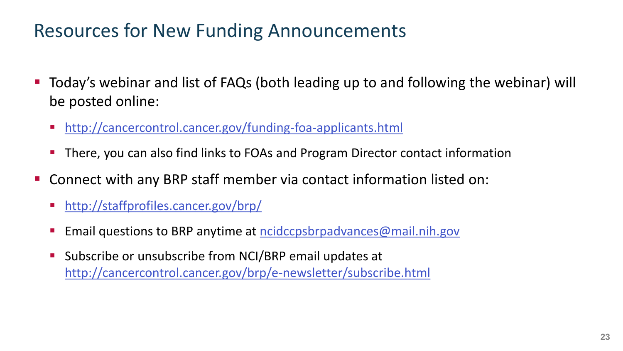#### Resources for New Funding Announcements

- Today's webinar and list of FAQs (both leading up to and following the webinar) will be posted online:
	- <http://cancercontrol.cancer.gov/funding-foa-applicants.html>
	- There, you can also find links to FOAs and Program Director contact information
- Connect with any BRP staff member via contact information listed on:
	- <http://staffprofiles.cancer.gov/brp/>
	- Email questions to BRP anytime at [ncidccpsbrpadvances@mail.nih.gov](mailto:ncidccpsbrpadvances@mail.nih.gov)
	- Subscribe or unsubscribe from NCI/BRP email updates at <http://cancercontrol.cancer.gov/brp/e-newsletter/subscribe.html>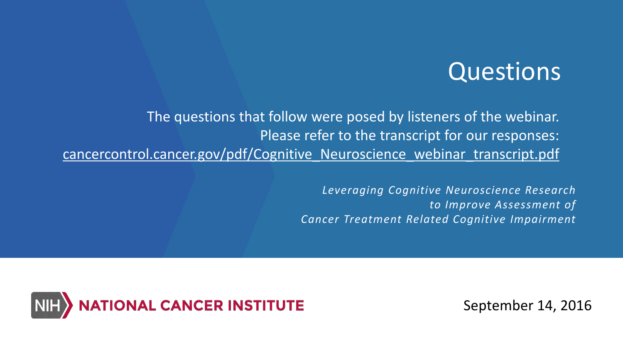## Questions

The questions that follow were posed by listeners of the webinar. Please refer to the transcript for our responses: [cancercontrol.cancer.gov/pdf/Cognitive\\_Neuroscience\\_webinar\\_transcript.pdf](https://cancercontrol.cancer.gov/pdf/Cognitive_Neuroscience_webinar_transcript.pdf)

> *Leveraging Cognitive Neuroscience Research to Improve Assessment of Cancer Treatment Related Cognitive Impairment*



September 14, 2016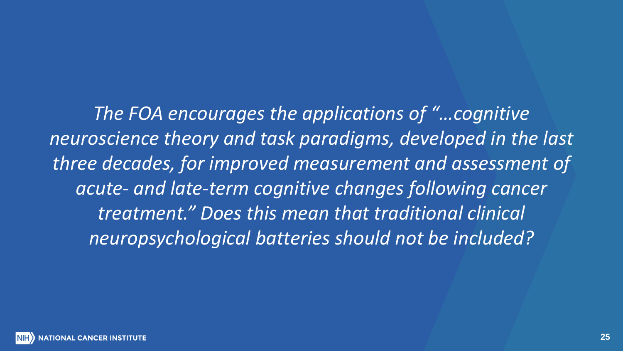*The FOA encourages the applications of "…cognitive neuroscience theory and task paradigms, developed in the last three decades, for improved measurement and assessment of acute- and late-term cognitive changes following cancer treatment." Does this mean that traditional clinical neuropsychological batteries should not be included?*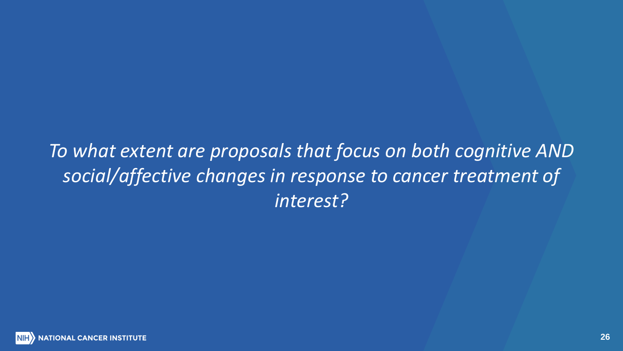## *To what extent are proposals that focus on both cognitive AND social/affective changes in response to cancer treatment of interest?*

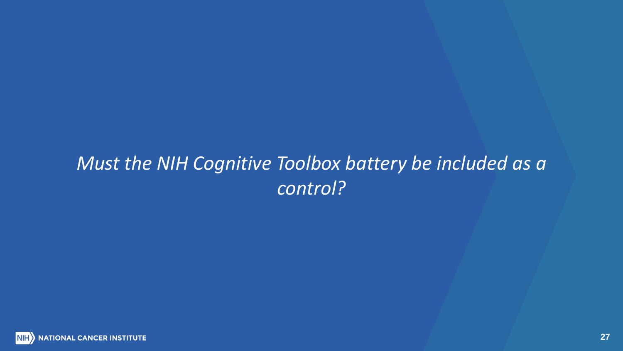## *Must the NIH Cognitive Toolbox battery be included as a control?*

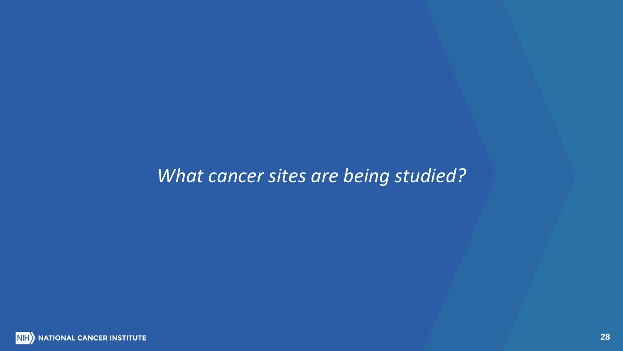#### *What cancer sites are being studied?*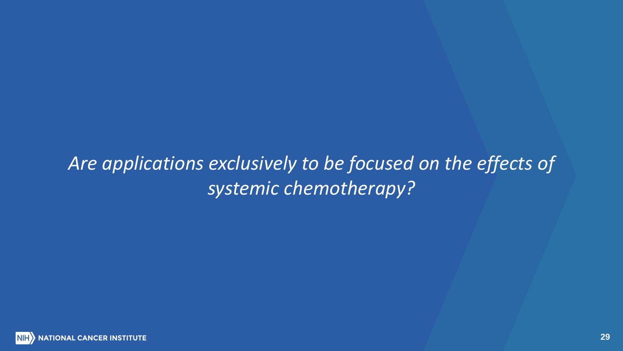## *Are applications exclusively to be focused on the effects of systemic chemotherapy?*